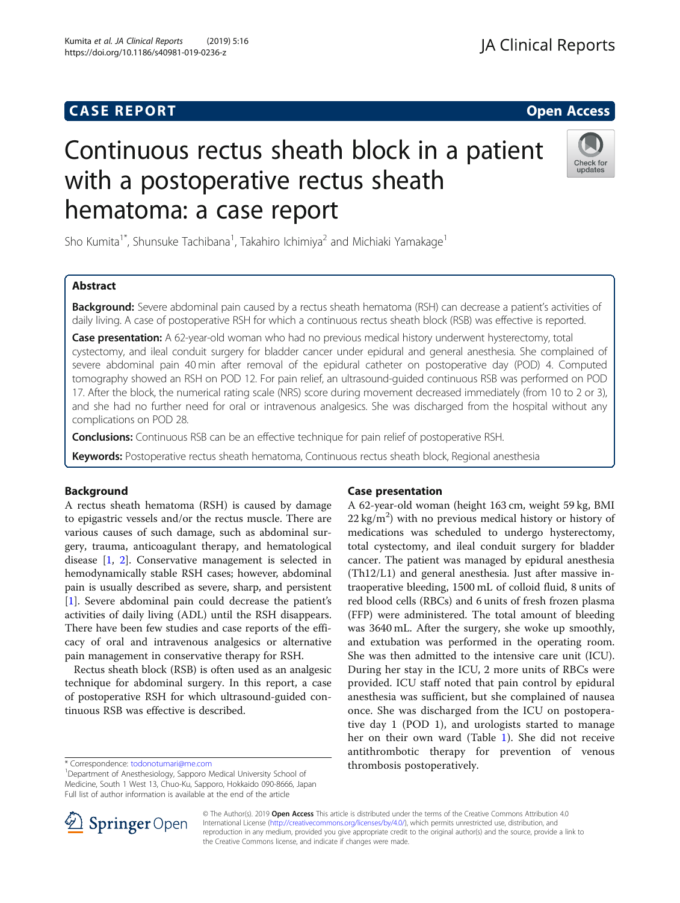Kumita et al. JA Clinical Reports (2019) 5:16 https://doi.org/10.1186/s40981-019-0236-z

# Continuous rectus sheath block in a patient with a postoperative rectus sheath hematoma: a case report



Sho Kumita<sup>1\*</sup>, Shunsuke Tachibana<sup>1</sup>, Takahiro Ichimiya<sup>2</sup> and Michiaki Yamakage<sup>1</sup>

# Abstract

Background: Severe abdominal pain caused by a rectus sheath hematoma (RSH) can decrease a patient's activities of daily living. A case of postoperative RSH for which a continuous rectus sheath block (RSB) was effective is reported.

Case presentation: A 62-year-old woman who had no previous medical history underwent hysterectomy, total cystectomy, and ileal conduit surgery for bladder cancer under epidural and general anesthesia. She complained of severe abdominal pain 40 min after removal of the epidural catheter on postoperative day (POD) 4. Computed tomography showed an RSH on POD 12. For pain relief, an ultrasound-guided continuous RSB was performed on POD 17. After the block, the numerical rating scale (NRS) score during movement decreased immediately (from 10 to 2 or 3), and she had no further need for oral or intravenous analgesics. She was discharged from the hospital without any complications on POD 28.

**Conclusions:** Continuous RSB can be an effective technique for pain relief of postoperative RSH.

Keywords: Postoperative rectus sheath hematoma, Continuous rectus sheath block, Regional anesthesia

# Background

A rectus sheath hematoma (RSH) is caused by damage to epigastric vessels and/or the rectus muscle. There are various causes of such damage, such as abdominal surgery, trauma, anticoagulant therapy, and hematological disease [\[1](#page-2-0), [2\]](#page-2-0). Conservative management is selected in hemodynamically stable RSH cases; however, abdominal pain is usually described as severe, sharp, and persistent [[1\]](#page-2-0). Severe abdominal pain could decrease the patient's activities of daily living (ADL) until the RSH disappears. There have been few studies and case reports of the efficacy of oral and intravenous analgesics or alternative pain management in conservative therapy for RSH.

Rectus sheath block (RSB) is often used as an analgesic technique for abdominal surgery. In this report, a case of postoperative RSH for which ultrasound-guided continuous RSB was effective is described.

# Case presentation

A 62-year-old woman (height 163 cm, weight 59 kg, BMI  $22 \text{ kg/m}^2$ ) with no previous medical history or history of medications was scheduled to undergo hysterectomy, total cystectomy, and ileal conduit surgery for bladder cancer. The patient was managed by epidural anesthesia (Th12/L1) and general anesthesia. Just after massive intraoperative bleeding, 1500 mL of colloid fluid, 8 units of red blood cells (RBCs) and 6 units of fresh frozen plasma (FFP) were administered. The total amount of bleeding was 3640 mL. After the surgery, she woke up smoothly, and extubation was performed in the operating room. She was then admitted to the intensive care unit (ICU). During her stay in the ICU, 2 more units of RBCs were provided. ICU staff noted that pain control by epidural anesthesia was sufficient, but she complained of nausea once. She was discharged from the ICU on postoperative day 1 (POD 1), and urologists started to manage her on their own ward (Table [1](#page-1-0)). She did not receive antithrombotic therapy for prevention of venous



© The Author(s). 2019 Open Access This article is distributed under the terms of the Creative Commons Attribution 4.0 International License ([http://creativecommons.org/licenses/by/4.0/\)](http://creativecommons.org/licenses/by/4.0/), which permits unrestricted use, distribution, and reproduction in any medium, provided you give appropriate credit to the original author(s) and the source, provide a link to the Creative Commons license, and indicate if changes were made.

<sup>\*</sup> Correspondence: [todonotumari@me.com](mailto:todonotumari@me.com) **article in the support of the support of thrombosis postoperatively.**<br><sup>1</sup> Department of Anesthesiology, Sapporo Medical University School of **the support of the support of the support** Medicine, South 1 West 13, Chuo-Ku, Sapporo, Hokkaido 090-8666, Japan Full list of author information is available at the end of the article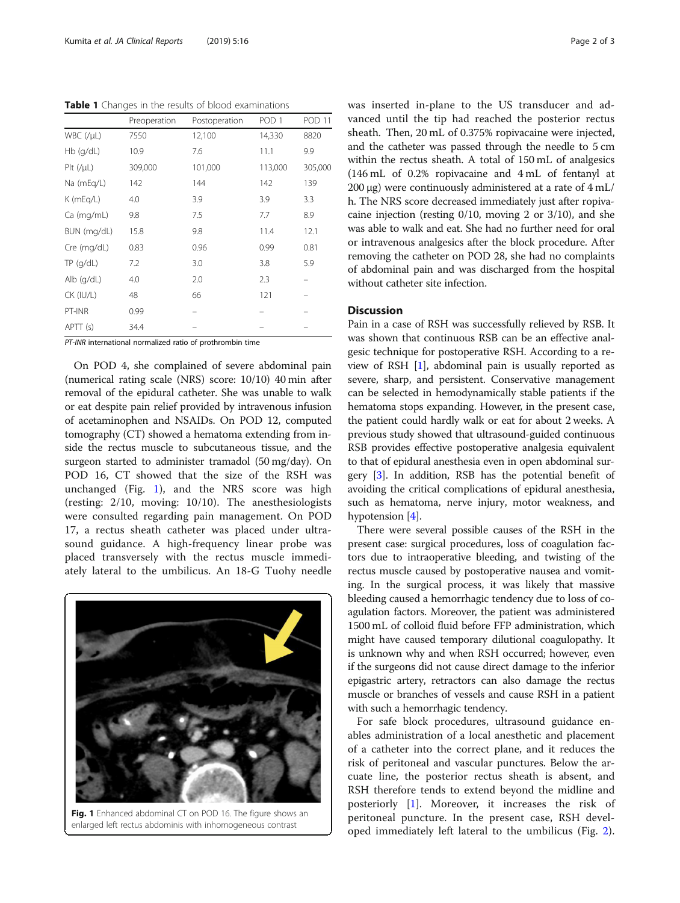<span id="page-1-0"></span>Table 1 Changes in the results of blood examinations

|                   | Preoperation | Postoperation | POD <sub>1</sub> | <b>POD 11</b> |
|-------------------|--------------|---------------|------------------|---------------|
| $WBC$ (/ $\mu$ L) | 7550         | 12,100        | 14,330           | 8820          |
| $Hb$ (q/dL)       | 10.9         | 7.6           | 11.1             | 9.9           |
| $P$ It $(V\mu L)$ | 309,000      | 101,000       | 113,000          | 305,000       |
| Na (mEg/L)        | 142          | 144           | 142              | 139           |
| $K$ (mEg/L)       | 4.0          | 3.9           | 3.9              | 3.3           |
| Ca (mg/mL)        | 9.8          | 7.5           | 7.7              | 8.9           |
| BUN (mg/dL)       | 15.8         | 9.8           | 11.4             | 12.1          |
| Cre (mg/dL)       | 0.83         | 0.96          | 0.99             | 0.81          |
| $TP$ (g/dL)       | 7.2          | 3.0           | 3.8              | 5.9           |
| $Alb$ (q/dL)      | 4.0          | 2.0           | 2.3              |               |
| CK (IU/L)         | 48           | 66            | 121              |               |
| PT-INR            | 0.99         |               |                  |               |
| APTT (s)          | 34.4         |               |                  |               |

PT-INR international normalized ratio of prothrombin time

On POD 4, she complained of severe abdominal pain (numerical rating scale (NRS) score: 10/10) 40 min after removal of the epidural catheter. She was unable to walk or eat despite pain relief provided by intravenous infusion of acetaminophen and NSAIDs. On POD 12, computed tomography (CT) showed a hematoma extending from inside the rectus muscle to subcutaneous tissue, and the surgeon started to administer tramadol (50 mg/day). On POD 16, CT showed that the size of the RSH was unchanged (Fig. 1), and the NRS score was high (resting: 2/10, moving: 10/10). The anesthesiologists were consulted regarding pain management. On POD 17, a rectus sheath catheter was placed under ultrasound guidance. A high-frequency linear probe was placed transversely with the rectus muscle immediately lateral to the umbilicus. An 18-G Tuohy needle



Fig. 1 Enhanced abdominal CT on POD 16. The figure shows an enlarged left rectus abdominis with inhomogeneous contrast

was inserted in-plane to the US transducer and advanced until the tip had reached the posterior rectus sheath. Then, 20 mL of 0.375% ropivacaine were injected, and the catheter was passed through the needle to 5 cm within the rectus sheath. A total of 150 mL of analgesics (146 mL of 0.2% ropivacaine and 4 mL of fentanyl at 200 μg) were continuously administered at a rate of 4 mL/ h. The NRS score decreased immediately just after ropivacaine injection (resting 0/10, moving 2 or 3/10), and she was able to walk and eat. She had no further need for oral or intravenous analgesics after the block procedure. After removing the catheter on POD 28, she had no complaints of abdominal pain and was discharged from the hospital without catheter site infection.

# Discussion

Pain in a case of RSH was successfully relieved by RSB. It was shown that continuous RSB can be an effective analgesic technique for postoperative RSH. According to a review of RSH [[1](#page-2-0)], abdominal pain is usually reported as severe, sharp, and persistent. Conservative management can be selected in hemodynamically stable patients if the hematoma stops expanding. However, in the present case, the patient could hardly walk or eat for about 2 weeks. A previous study showed that ultrasound-guided continuous RSB provides effective postoperative analgesia equivalent to that of epidural anesthesia even in open abdominal surgery [[3\]](#page-2-0). In addition, RSB has the potential benefit of avoiding the critical complications of epidural anesthesia, such as hematoma, nerve injury, motor weakness, and hypotension [\[4](#page-2-0)].

There were several possible causes of the RSH in the present case: surgical procedures, loss of coagulation factors due to intraoperative bleeding, and twisting of the rectus muscle caused by postoperative nausea and vomiting. In the surgical process, it was likely that massive bleeding caused a hemorrhagic tendency due to loss of coagulation factors. Moreover, the patient was administered 1500 mL of colloid fluid before FFP administration, which might have caused temporary dilutional coagulopathy. It is unknown why and when RSH occurred; however, even if the surgeons did not cause direct damage to the inferior epigastric artery, retractors can also damage the rectus muscle or branches of vessels and cause RSH in a patient with such a hemorrhagic tendency.

For safe block procedures, ultrasound guidance enables administration of a local anesthetic and placement of a catheter into the correct plane, and it reduces the risk of peritoneal and vascular punctures. Below the arcuate line, the posterior rectus sheath is absent, and RSH therefore tends to extend beyond the midline and posteriorly [\[1](#page-2-0)]. Moreover, it increases the risk of peritoneal puncture. In the present case, RSH developed immediately left lateral to the umbilicus (Fig. [2](#page-2-0)).